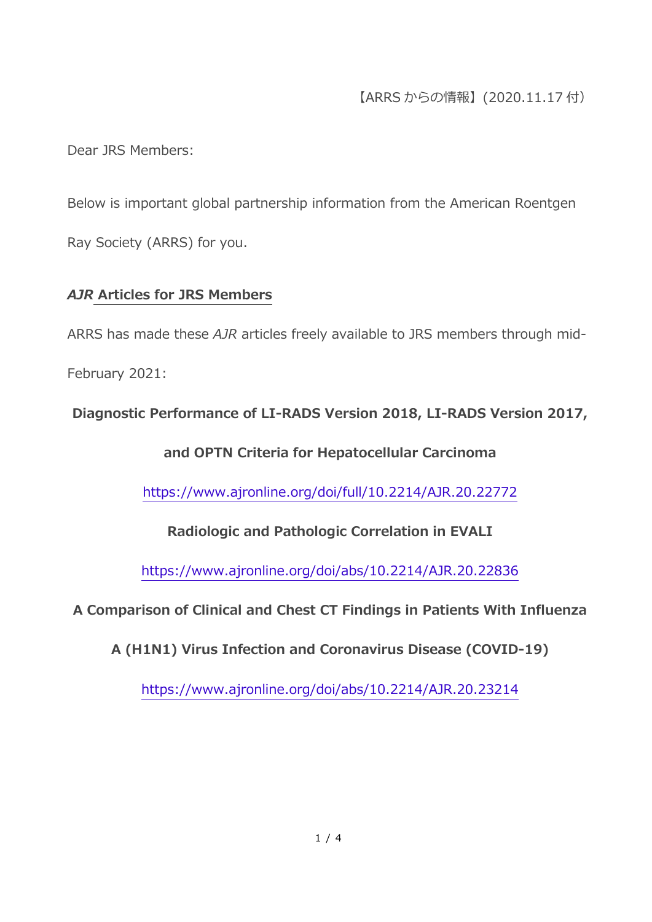# 【ARRS からの情報】(2020.11.17 付)

Dear JRS Members:

Below is important global partnership information from the American Roentgen Ray Society (ARRS) for you.

### *AJR* **Articles for JRS Members**

ARRS has made these *AJR* articles freely available to JRS members through mid-

February 2021:

**Diagnostic Performance of LI-RADS Version 2018, LI-RADS Version 2017,** 

**and OPTN Criteria for Hepatocellular Carcinoma**

<https://www.ajronline.org/doi/full/10.2214/AJR.20.22772>

**Radiologic and Pathologic Correlation in EVALI**

<https://www.ajronline.org/doi/abs/10.2214/AJR.20.22836>

**A Comparison of Clinical and Chest CT Findings in Patients With Influenza** 

**A (H1N1) Virus Infection and Coronavirus Disease (COVID-19)**

<https://www.ajronline.org/doi/abs/10.2214/AJR.20.23214>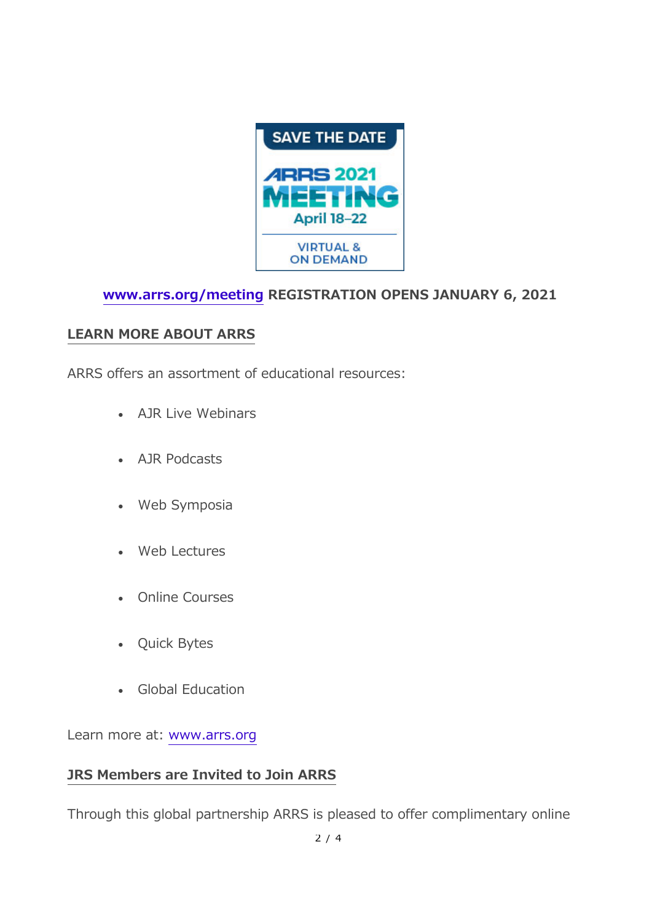

# **[www.arrs.org/meeting](https://www.arrs.org/AM21) REGISTRATION OPENS JANUARY 6, 2021**

### **LEARN MORE ABOUT ARRS**

ARRS offers an assortment of educational resources:

- AJR Live Webinars
- AJR Podcasts
- Web Symposia
- Web Lectures
- Online Courses
- Quick Bytes
- Global Education

Learn more at: [www.arrs.org](https://www.arrs.org/)

### **JRS Members are Invited to Join ARRS**

Through this global partnership ARRS is pleased to offer complimentary online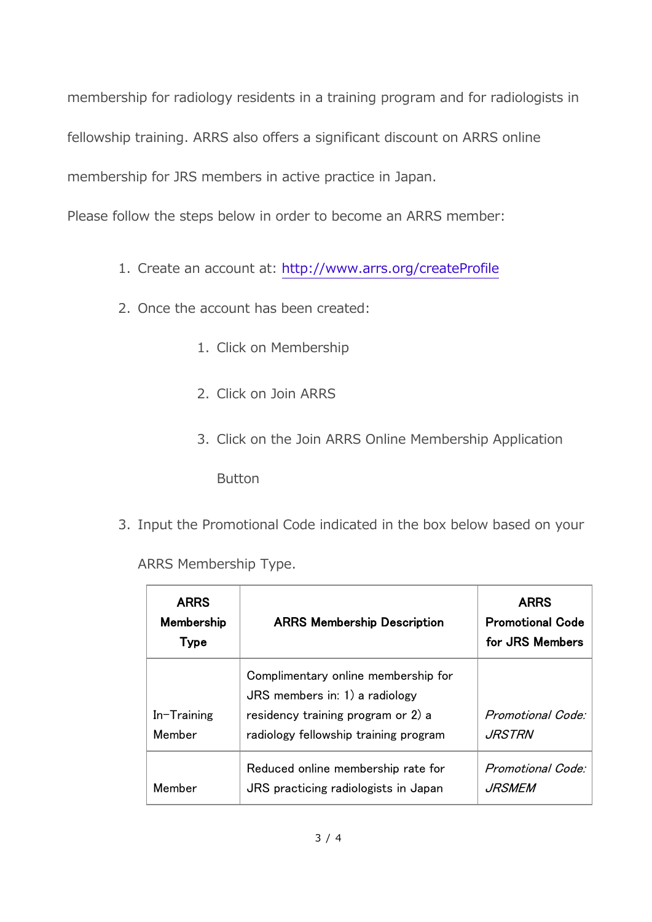membership for radiology residents in a training program and for radiologists in fellowship training. ARRS also offers a significant discount on ARRS online membership for JRS members in active practice in Japan.

Please follow the steps below in order to become an ARRS member:

- 1. Create an account at: <http://www.arrs.org/createProfile>
- 2. Once the account has been created:
	- 1. Click on Membership
	- 2. Click on Join ARRS
	- 3. Click on the Join ARRS Online Membership Application

Button

3. Input the Promotional Code indicated in the box below based on your

ARRS Membership Type.

| <b>ARRS</b><br>Membership<br>Type | <b>ARRS Membership Description</b>                                                                                                                     | <b>ARRS</b><br><b>Promotional Code</b><br>for JRS Members |
|-----------------------------------|--------------------------------------------------------------------------------------------------------------------------------------------------------|-----------------------------------------------------------|
| $In-Training$<br>Member           | Complimentary online membership for<br>$JRS$ members in: 1) a radiology<br>residency training program or 2) a<br>radiology fellowship training program | <b>Promotional Code:</b><br><i>JRSTRN</i>                 |
| Member                            | Reduced online membership rate for<br>JRS practicing radiologists in Japan                                                                             | Promotional Code:<br><i>JRSMEM</i>                        |